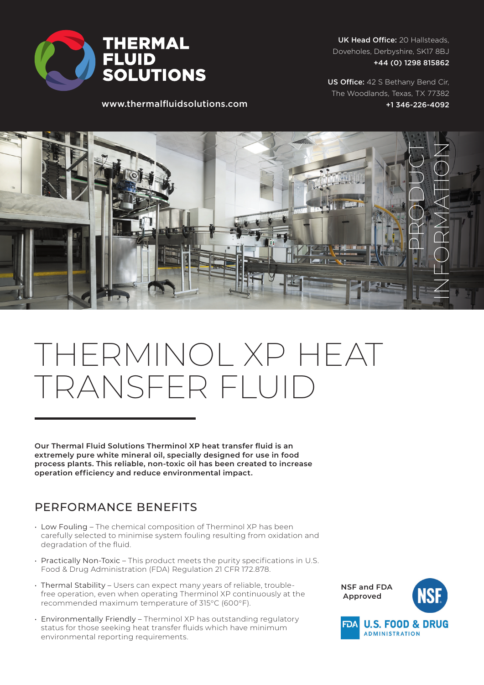

UK Head Office: 20 Hallsteads, Doveholes, Derbyshire, SK17 8BJ +44 (0) 1298 815862

US Office: 42 S Bethany Bend Cir, The Woodlands, Texas, TX 77382 +1 346-226-4092

www.thermalfluidsolutions.com



## THERMINOL XP HEAT TRANSFER FLUID

**Our Thermal Fluid Solutions Therminol XP heat transfer fluid is an extremely pure white mineral oil, specially designed for use in food process plants. This reliable, non-toxic oil has been created to increase operation efficiency and reduce environmental impact.**

## PERFORMANCE BENEFITS

- Low Fouling The chemical composition of Therminol XP has been carefully selected to minimise system fouling resulting from oxidation and degradation of the fluid.
- Practically Non-Toxic This product meets the purity specifications in U.S. Food & Drug Administration (FDA) Regulation 21 CFR 172.878.
- Thermal Stability Users can expect many years of reliable, troublefree operation, even when operating Therminol XP continuously at the recommended maximum temperature of 315°C (600°F).
- Environmentally Friendly Therminol XP has outstanding regulatory status for those seeking heat transfer fluids which have minimum environmental reporting requirements.

**NSF and FDA Approved**